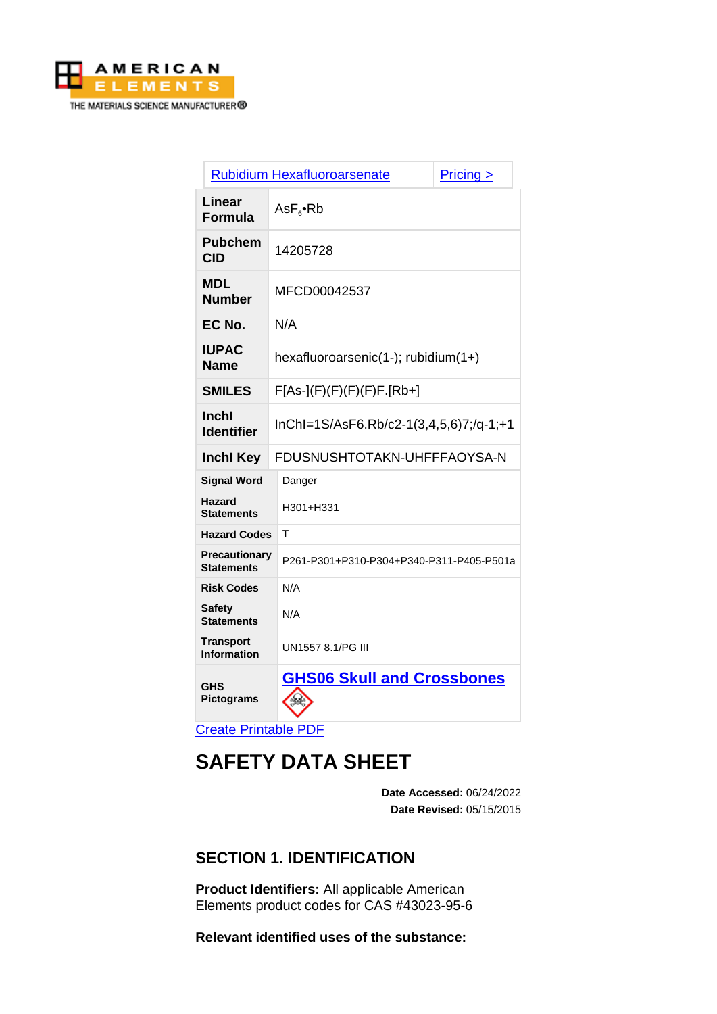

| Rubidium Hexafluoroarsenate<br>Pricing >  |                                                          |  |
|-------------------------------------------|----------------------------------------------------------|--|
| Linear<br><b>Formula</b>                  | $\mathsf{AsF}_{\scriptscriptstyle{6}}\bullet\mathsf{Rb}$ |  |
| <b>Pubchem</b><br><b>CID</b>              | 14205728                                                 |  |
| <b>MDL</b><br><b>Number</b>               | MFCD00042537                                             |  |
| EC No.                                    | N/A                                                      |  |
| <b>IUPAC</b><br><b>Name</b>               | hexafluoroarsenic(1-); rubidium(1+)                      |  |
| <b>SMILES</b>                             | $F[As-](F)(F)(F)(F)F.[Rb+]$                              |  |
| <b>Inchl</b><br><b>Identifier</b>         | InChl=1S/AsF6.Rb/c2-1(3,4,5,6)7;/q-1;+1                  |  |
| <b>Inchl Key</b>                          | FDUSNUSHTOTAKN-UHFFFAOYSA-N                              |  |
| <b>Signal Word</b>                        | Danger                                                   |  |
| <b>Hazard</b><br><b>Statements</b>        | H301+H331                                                |  |
| <b>Hazard Codes</b>                       | т                                                        |  |
| <b>Precautionary</b><br><b>Statements</b> | P261-P301+P310-P304+P340-P311-P405-P501a                 |  |
| <b>Risk Codes</b>                         | N/A                                                      |  |
| <b>Safety</b><br><b>Statements</b>        | N/A                                                      |  |
| <b>Transport</b><br><b>Information</b>    | UN1557 8.1/PG III                                        |  |
| <b>GHS</b><br><b>Pictograms</b>           | <b>GHS06 Skull and Crossbones</b>                        |  |

[Create Printable PDF](https://www.americanelements.com/printpdf/cas/43023-95-6/sds)

# **SAFETY DATA SHEET**

**Date Accessed:** 06/24/2022 **Date Revised:** 05/15/2015

# **SECTION 1. IDENTIFICATION**

**Product Identifiers:** All applicable American Elements product codes for CAS #43023-95-6

**Relevant identified uses of the substance:**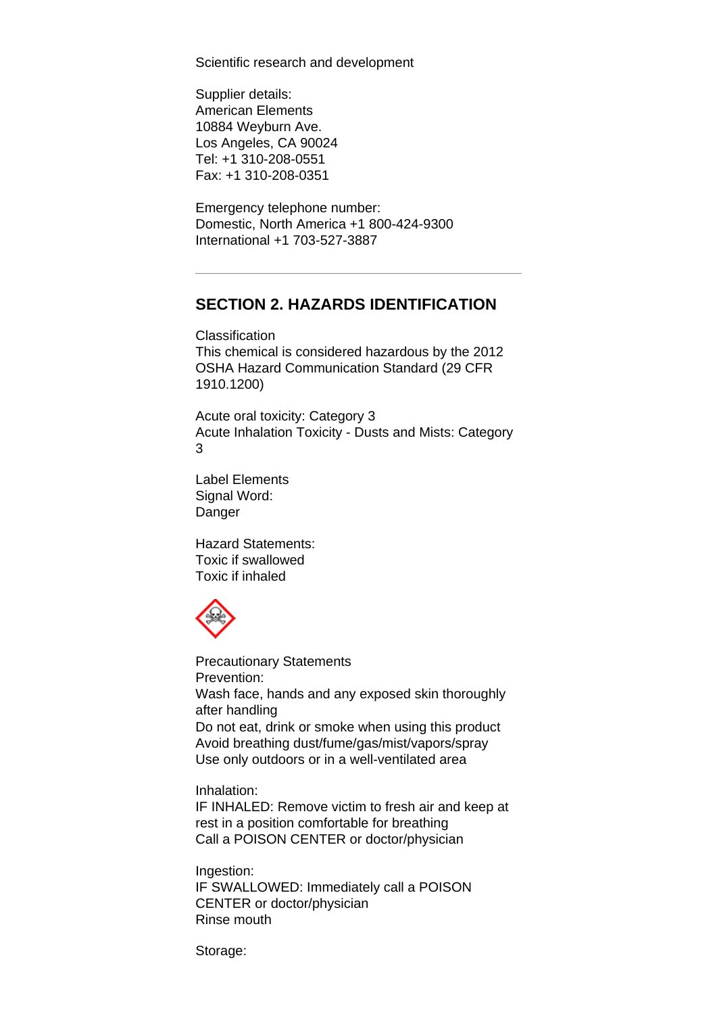Scientific research and development

Supplier details: American Elements 10884 Weyburn Ave. Los Angeles, CA 90024 Tel: +1 310-208-0551 Fax: +1 310-208-0351

Emergency telephone number: Domestic, North America +1 800-424-9300 International +1 703-527-3887

### **SECTION 2. HAZARDS IDENTIFICATION**

Classification This chemical is considered hazardous by the 2012 OSHA Hazard Communication Standard (29 CFR 1910.1200)

Acute oral toxicity: Category 3 Acute Inhalation Toxicity - Dusts and Mists: Category 3

Label Elements Signal Word: Danger

Hazard Statements: Toxic if swallowed Toxic if inhaled



Precautionary Statements Prevention: Wash face, hands and any exposed skin thoroughly after handling Do not eat, drink or smoke when using this product Avoid breathing dust/fume/gas/mist/vapors/spray Use only outdoors or in a well-ventilated area

Inhalation:

IF INHALED: Remove victim to fresh air and keep at rest in a position comfortable for breathing Call a POISON CENTER or doctor/physician

Ingestion: IF SWALLOWED: Immediately call a POISON CENTER or doctor/physician Rinse mouth

Storage: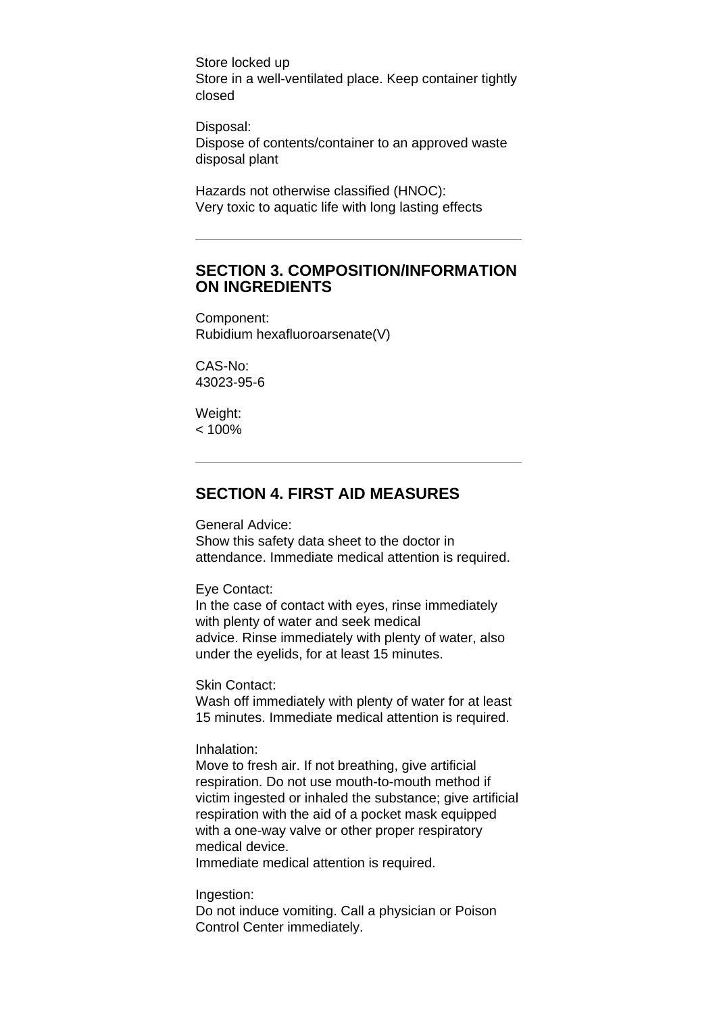Store locked up Store in a well-ventilated place. Keep container tightly closed

Disposal: Dispose of contents/container to an approved waste disposal plant

Hazards not otherwise classified (HNOC): Very toxic to aquatic life with long lasting effects

### **SECTION 3. COMPOSITION/INFORMATION ON INGREDIENTS**

Component: Rubidium hexafluoroarsenate(V)

CAS-No: 43023-95-6

Weight:  $< 100%$ 

### **SECTION 4. FIRST AID MEASURES**

General Advice:

Show this safety data sheet to the doctor in attendance. Immediate medical attention is required.

Eye Contact:

In the case of contact with eyes, rinse immediately with plenty of water and seek medical advice. Rinse immediately with plenty of water, also under the eyelids, for at least 15 minutes.

Skin Contact:

Wash off immediately with plenty of water for at least 15 minutes. Immediate medical attention is required.

Inhalation:

Move to fresh air. If not breathing, give artificial respiration. Do not use mouth-to-mouth method if victim ingested or inhaled the substance; give artificial respiration with the aid of a pocket mask equipped with a one-way valve or other proper respiratory medical device.

Immediate medical attention is required.

Ingestion:

Do not induce vomiting. Call a physician or Poison Control Center immediately.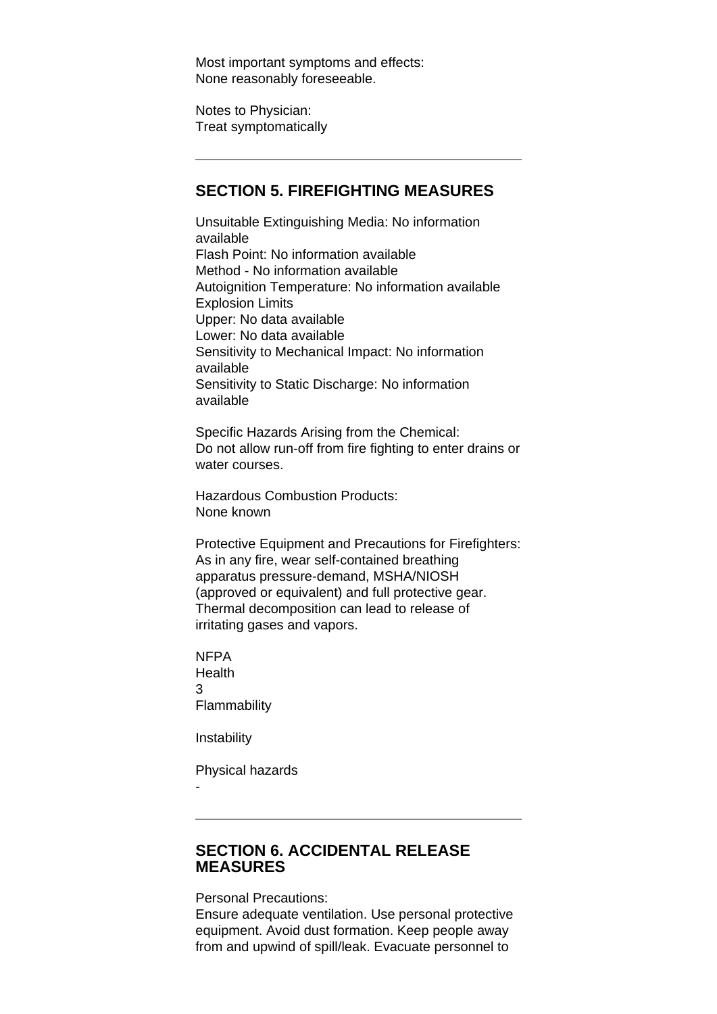Most important symptoms and effects: None reasonably foreseeable.

Notes to Physician: Treat symptomatically

### **SECTION 5. FIREFIGHTING MEASURES**

Unsuitable Extinguishing Media: No information available Flash Point: No information available Method - No information available Autoignition Temperature: No information available Explosion Limits Upper: No data available Lower: No data available Sensitivity to Mechanical Impact: No information available Sensitivity to Static Discharge: No information available

Specific Hazards Arising from the Chemical: Do not allow run-off from fire fighting to enter drains or water courses.

Hazardous Combustion Products: None known

Protective Equipment and Precautions for Firefighters: As in any fire, wear self-contained breathing apparatus pressure-demand, MSHA/NIOSH (approved or equivalent) and full protective gear. Thermal decomposition can lead to release of irritating gases and vapors.

NFPA Health 3 **Flammability** 

**Instability** 

-

Physical hazards

# **SECTION 6. ACCIDENTAL RELEASE MEASURES**

Personal Precautions:

Ensure adequate ventilation. Use personal protective equipment. Avoid dust formation. Keep people away from and upwind of spill/leak. Evacuate personnel to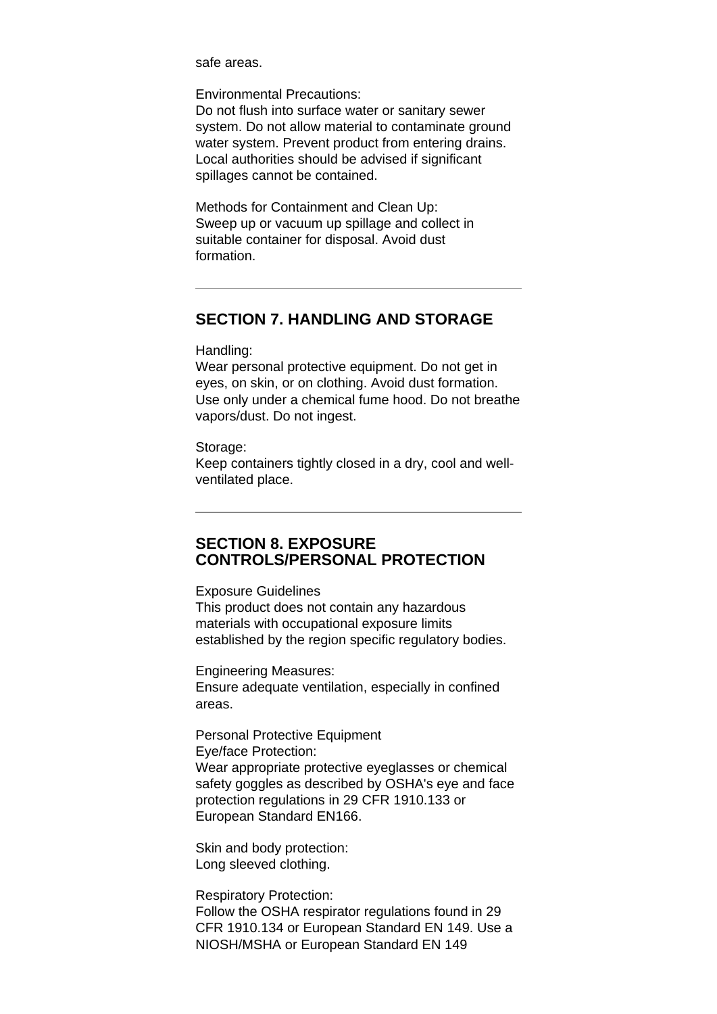safe areas.

Environmental Precautions:

Do not flush into surface water or sanitary sewer system. Do not allow material to contaminate ground water system. Prevent product from entering drains. Local authorities should be advised if significant spillages cannot be contained.

Methods for Containment and Clean Up: Sweep up or vacuum up spillage and collect in suitable container for disposal. Avoid dust formation.

### **SECTION 7. HANDLING AND STORAGE**

Handling:

Wear personal protective equipment. Do not get in eyes, on skin, or on clothing. Avoid dust formation. Use only under a chemical fume hood. Do not breathe vapors/dust. Do not ingest.

### Storage:

Keep containers tightly closed in a dry, cool and wellventilated place.

### **SECTION 8. EXPOSURE CONTROLS/PERSONAL PROTECTION**

#### Exposure Guidelines

This product does not contain any hazardous materials with occupational exposure limits established by the region specific regulatory bodies.

Engineering Measures: Ensure adequate ventilation, especially in confined areas.

Personal Protective Equipment Eye/face Protection: Wear appropriate protective eyeglasses or chemical safety goggles as described by OSHA's eye and face protection regulations in 29 CFR 1910.133 or European Standard EN166.

Skin and body protection: Long sleeved clothing.

Respiratory Protection: Follow the OSHA respirator regulations found in 29 CFR 1910.134 or European Standard EN 149. Use a NIOSH/MSHA or European Standard EN 149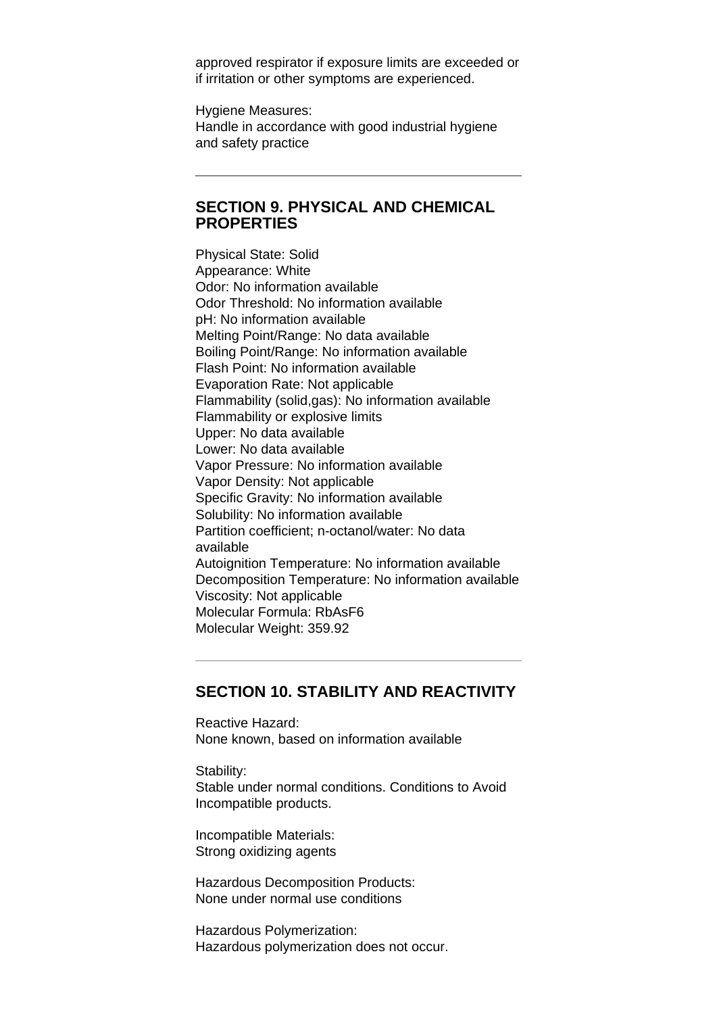approved respirator if exposure limits are exceeded or if irritation or other symptoms are experienced.

Hygiene Measures: Handle in accordance with good industrial hygiene and safety practice

### **SECTION 9. PHYSICAL AND CHEMICAL PROPERTIES**

Physical State: Solid Appearance: White Odor: No information available Odor Threshold: No information available pH: No information available Melting Point/Range: No data available Boiling Point/Range: No information available Flash Point: No information available Evaporation Rate: Not applicable Flammability (solid,gas): No information available Flammability or explosive limits Upper: No data available Lower: No data available Vapor Pressure: No information available Vapor Density: Not applicable Specific Gravity: No information available Solubility: No information available Partition coefficient; n-octanol/water: No data available Autoignition Temperature: No information available Decomposition Temperature: No information available Viscosity: Not applicable Molecular Formula: RbAsF6 Molecular Weight: 359.92

# **SECTION 10. STABILITY AND REACTIVITY**

Reactive Hazard: None known, based on information available

Stability: Stable under normal conditions. Conditions to Avoid Incompatible products.

Incompatible Materials: Strong oxidizing agents

Hazardous Decomposition Products: None under normal use conditions

Hazardous Polymerization: Hazardous polymerization does not occur.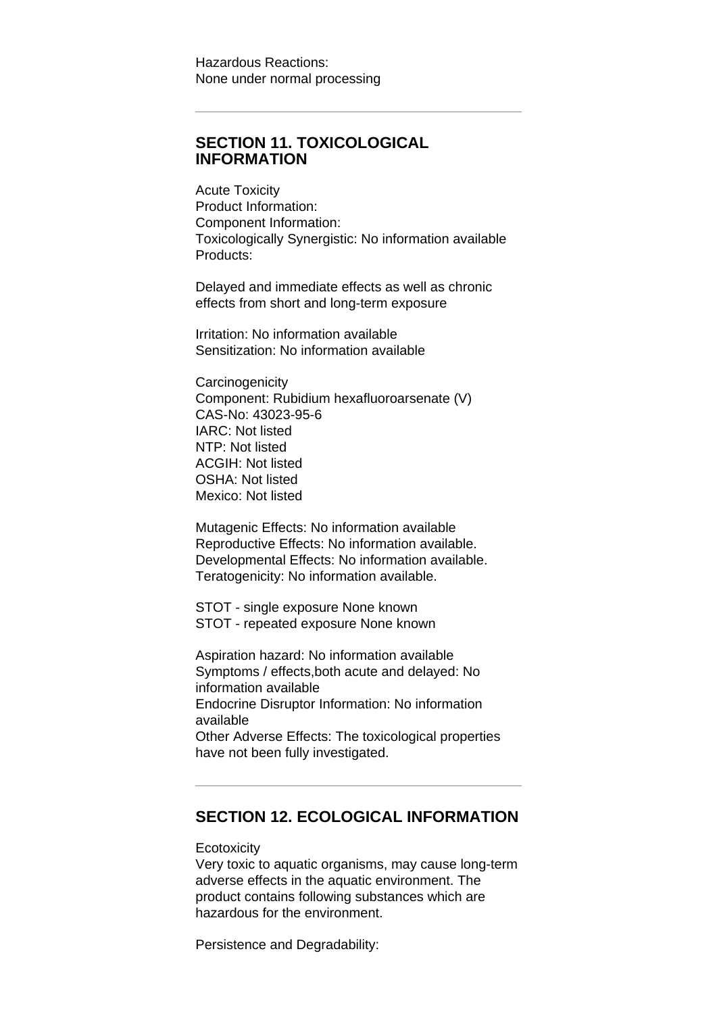# **SECTION 11. TOXICOLOGICAL INFORMATION**

Acute Toxicity Product Information: Component Information: Toxicologically Synergistic: No information available Products:

Delayed and immediate effects as well as chronic effects from short and long-term exposure

Irritation: No information available Sensitization: No information available

**Carcinogenicity** Component: Rubidium hexafluoroarsenate (V) CAS-No: 43023-95-6 IARC: Not listed NTP: Not listed ACGIH: Not listed OSHA: Not listed Mexico: Not listed

Mutagenic Effects: No information available Reproductive Effects: No information available. Developmental Effects: No information available. Teratogenicity: No information available.

STOT - single exposure None known STOT - repeated exposure None known

Aspiration hazard: No information available Symptoms / effects,both acute and delayed: No information available Endocrine Disruptor Information: No information available Other Adverse Effects: The toxicological properties have not been fully investigated.

### **SECTION 12. ECOLOGICAL INFORMATION**

### **Ecotoxicity**

Very toxic to aquatic organisms, may cause long-term adverse effects in the aquatic environment. The product contains following substances which are hazardous for the environment.

Persistence and Degradability: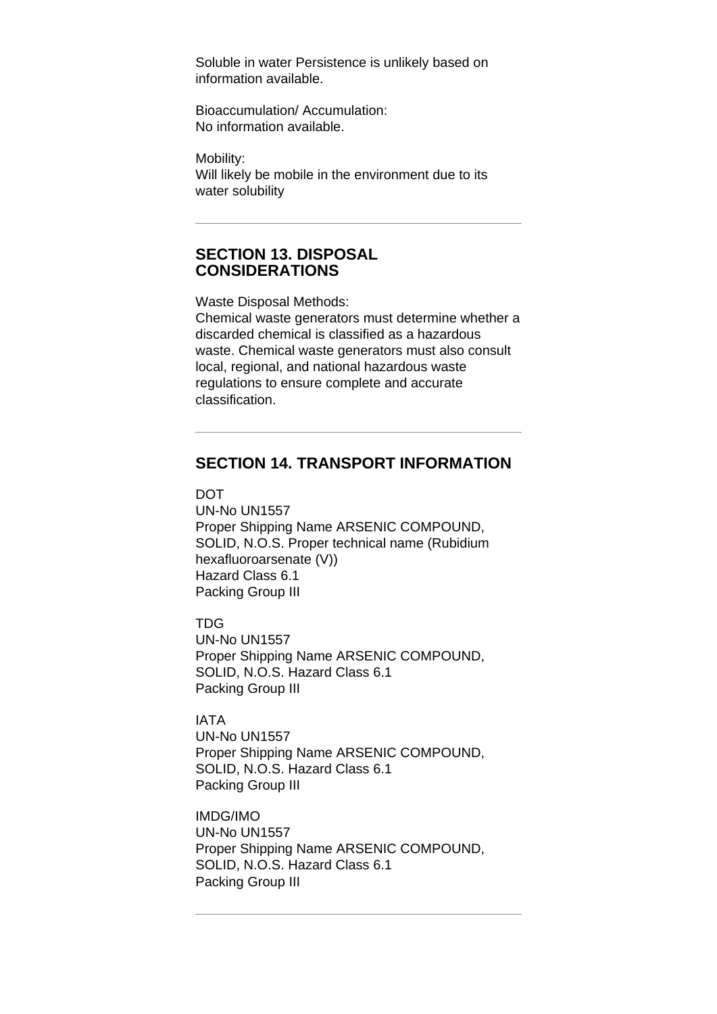Soluble in water Persistence is unlikely based on information available.

Bioaccumulation/ Accumulation: No information available.

Mobility: Will likely be mobile in the environment due to its water solubility

### **SECTION 13. DISPOSAL CONSIDERATIONS**

Waste Disposal Methods:

Chemical waste generators must determine whether a discarded chemical is classified as a hazardous waste. Chemical waste generators must also consult local, regional, and national hazardous waste regulations to ensure complete and accurate classification.

# **SECTION 14. TRANSPORT INFORMATION**

**DOT** 

UN-No UN1557 Proper Shipping Name ARSENIC COMPOUND, SOLID, N.O.S. Proper technical name (Rubidium hexafluoroarsenate (V)) Hazard Class 6.1 Packing Group III

TDG

UN-No UN1557 Proper Shipping Name ARSENIC COMPOUND, SOLID, N.O.S. Hazard Class 6.1 Packing Group III

IATA

UN-No UN1557 Proper Shipping Name ARSENIC COMPOUND, SOLID, N.O.S. Hazard Class 6.1 Packing Group III

IMDG/IMO UN-No UN1557 Proper Shipping Name ARSENIC COMPOUND, SOLID, N.O.S. Hazard Class 6.1 Packing Group III